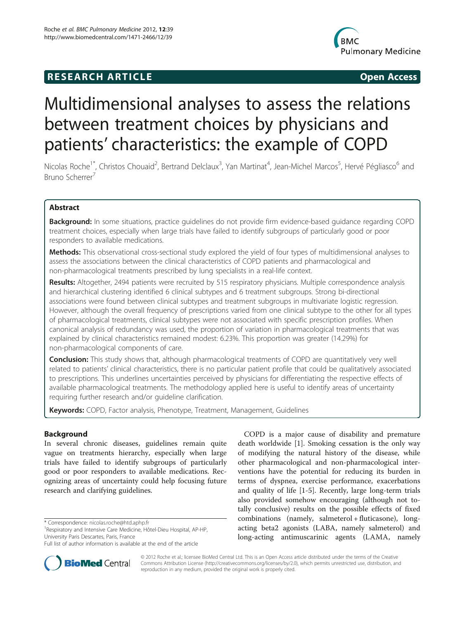## **RESEARCH ARTICLE Example 2018 12:00 Open Access**



# Multidimensional analyses to assess the relations between treatment choices by physicians and patients' characteristics: the example of COPD

Nicolas Roche<sup>1\*</sup>, Christos Chouaid<sup>2</sup>, Bertrand Delclaux<sup>3</sup>, Yan Martinat<sup>4</sup>, Jean-Michel Marcos<sup>5</sup>, Hervé Pégliasco<sup>6</sup> and Bruno Scherrer<sup>7</sup>

## Abstract

Background: In some situations, practice guidelines do not provide firm evidence-based guidance regarding COPD treatment choices, especially when large trials have failed to identify subgroups of particularly good or poor responders to available medications.

Methods: This observational cross-sectional study explored the yield of four types of multidimensional analyses to assess the associations between the clinical characteristics of COPD patients and pharmacological and non-pharmacological treatments prescribed by lung specialists in a real-life context.

Results: Altogether, 2494 patients were recruited by 515 respiratory physicians. Multiple correspondence analysis and hierarchical clustering identified 6 clinical subtypes and 6 treatment subgroups. Strong bi-directional associations were found between clinical subtypes and treatment subgroups in multivariate logistic regression. However, although the overall frequency of prescriptions varied from one clinical subtype to the other for all types of pharmacological treatments, clinical subtypes were not associated with specific prescription profiles. When canonical analysis of redundancy was used, the proportion of variation in pharmacological treatments that was explained by clinical characteristics remained modest: 6.23%. This proportion was greater (14.29%) for non-pharmacological components of care.

**Conclusion:** This study shows that, although pharmacological treatments of COPD are quantitatively very well related to patients' clinical characteristics, there is no particular patient profile that could be qualitatively associated to prescriptions. This underlines uncertainties perceived by physicians for differentiating the respective effects of available pharmacological treatments. The methodology applied here is useful to identify areas of uncertainty requiring further research and/or guideline clarification.

Keywords: COPD, Factor analysis, Phenotype, Treatment, Management, Guidelines

## Background

In several chronic diseases, guidelines remain quite vague on treatments hierarchy, especially when large trials have failed to identify subgroups of particularly good or poor responders to available medications. Recognizing areas of uncertainty could help focusing future research and clarifying guidelines.

<sup>1</sup>Respiratory and Intensive Care Medicine, Hôtel-Dieu Hospital, AP-HP, University Paris Descartes, Paris, France

COPD is a major cause of disability and premature death worldwide [\[1](#page-8-0)]. Smoking cessation is the only way of modifying the natural history of the disease, while other pharmacological and non-pharmacological interventions have the potential for reducing its burden in terms of dyspnea, exercise performance, exacerbations and quality of life [[1](#page-8-0)-[5\]](#page-8-0). Recently, large long-term trials also provided somehow encouraging (although not totally conclusive) results on the possible effects of fixed combinations (namely, salmeterol + fluticasone), longacting beta2 agonists (LABA, namely salmeterol) and long-acting antimuscarinic agents (LAMA, namely



© 2012 Roche et al.; licensee BioMed Central Ltd. This is an Open Access article distributed under the terms of the Creative Commons Attribution License [\(http://creativecommons.org/licenses/by/2.0\)](http://www.goldcopd.com), which permits unrestricted use, distribution, and reproduction in any medium, provided the original work is properly cited.

<sup>\*</sup> Correspondence: [nicolas.roche@htd.aphp.fr](mailto:nicolas.roche@htd.aphp.fr) <sup>1</sup>

Full list of author information is available at the end of the article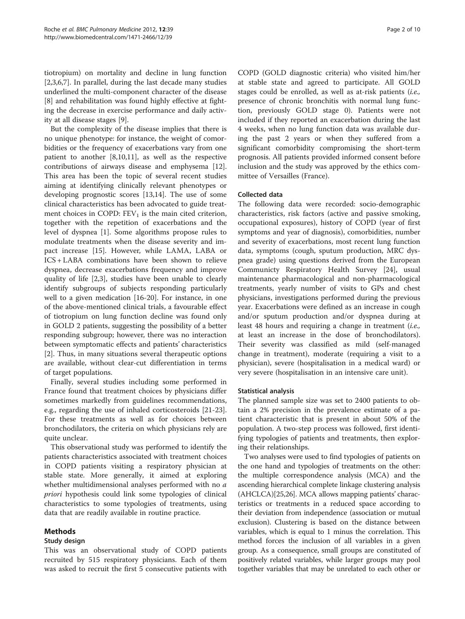tiotropium) on mortality and decline in lung function [[2,3,6,7\]](#page-8-0). In parallel, during the last decade many studies underlined the multi-component character of the disease [[8\]](#page-9-0) and rehabilitation was found highly effective at fighting the decrease in exercise performance and daily activity at all disease stages [[9\]](#page-9-0).

But the complexity of the disease implies that there is no unique phenotype: for instance, the weight of comorbidities or the frequency of exacerbations vary from one patient to another [[8,10,11\]](#page-9-0), as well as the respective contributions of airways disease and emphysema [\[12](#page-9-0)]. This area has been the topic of several recent studies aiming at identifying clinically relevant phenotypes or developing prognostic scores [\[13,14\]](#page-9-0). The use of some clinical characteristics has been advocated to guide treatment choices in COPD:  $FEV<sub>1</sub>$  is the main cited criterion, together with the repetition of exacerbations and the level of dyspnea [\[1\]](#page-8-0). Some algorithms propose rules to modulate treatments when the disease severity and impact increase [\[15](#page-9-0)]. However, while LAMA, LABA or ICS + LABA combinations have been shown to relieve dyspnea, decrease exacerbations frequency and improve quality of life [\[2,3](#page-8-0)], studies have been unable to clearly identify subgroups of subjects responding particularly well to a given medication [[16](#page-9-0)-[20\]](#page-9-0). For instance, in one of the above-mentioned clinical trials, a favourable effect of tiotropium on lung function decline was found only in GOLD 2 patients, suggesting the possibility of a better responding subgroup; however, there was no interaction between symptomatic effects and patients' characteristics [[2\]](#page-8-0). Thus, in many situations several therapeutic options are available, without clear-cut differentiation in terms of target populations.

Finally, several studies including some performed in France found that treatment choices by physicians differ sometimes markedly from guidelines recommendations, e.g., regarding the use of inhaled corticosteroids [\[21-23](#page-9-0)]. For these treatments as well as for choices between bronchodilators, the criteria on which physicians rely are quite unclear.

This observational study was performed to identify the patients characteristics associated with treatment choices in COPD patients visiting a respiratory physician at stable state. More generally, it aimed at exploring whether multidimensional analyses performed with no a priori hypothesis could link some typologies of clinical characteristics to some typologies of treatments, using data that are readily available in routine practice.

### Methods

### Study design

This was an observational study of COPD patients recruited by 515 respiratory physicians. Each of them was asked to recruit the first 5 consecutive patients with

COPD (GOLD diagnostic criteria) who visited him/her at stable state and agreed to participate. All GOLD stages could be enrolled, as well as at-risk patients  $(i.e.,$ presence of chronic bronchitis with normal lung function, previously GOLD stage 0). Patients were not included if they reported an exacerbation during the last 4 weeks, when no lung function data was available during the past 2 years or when they suffered from a significant comorbidity compromising the short-term prognosis. All patients provided informed consent before inclusion and the study was approved by the ethics committee of Versailles (France).

### Collected data

The following data were recorded: socio-demographic characteristics, risk factors (active and passive smoking, occupational exposures), history of COPD (year of first symptoms and year of diagnosis), comorbidities, number and severity of exacerbations, most recent lung function data, symptoms (cough, sputum production, MRC dyspnea grade) using questions derived from the European Communicty Respiratory Health Survey [\[24\]](#page-9-0), usual maintenance pharmacological and non-pharmacological treatments, yearly number of visits to GPs and chest physicians, investigations performed during the previous year. Exacerbations were defined as an increase in cough and/or sputum production and/or dyspnea during at least 48 hours and requiring a change in treatment (*i.e.*, at least an increase in the dose of bronchodilators). Their severity was classified as mild (self-managed change in treatment), moderate (requiring a visit to a physician), severe (hospitalisation in a medical ward) or very severe (hospitalisation in an intensive care unit).

### Statistical analysis

The planned sample size was set to 2400 patients to obtain a 2% precision in the prevalence estimate of a patient characteristic that is present in about 50% of the population. A two-step process was followed, first identifying typologies of patients and treatments, then exploring their relationships.

Two analyses were used to find typologies of patients on the one hand and typologies of treatments on the other: the multiple correspondence analysis (MCA) and the ascending hierarchical complete linkage clustering analysis (AHCLCA)[[25,26](#page-9-0)]. MCA allows mapping patients' characteristics or treatments in a reduced space according to their deviation from independence (association or mutual exclusion). Clustering is based on the distance between variables, which is equal to 1 minus the correlation. This method forces the inclusion of all variables in a given group. As a consequence, small groups are constituted of positively related variables, while larger groups may pool together variables that may be unrelated to each other or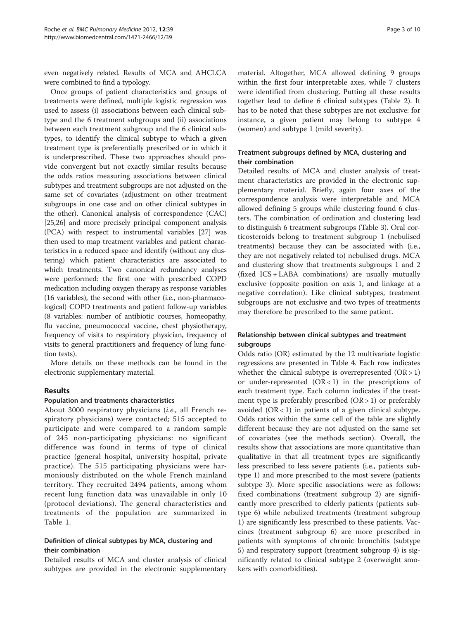even negatively related. Results of MCA and AHCLCA were combined to find a typology.

Once groups of patient characteristics and groups of treatments were defined, multiple logistic regression was used to assess (i) associations between each clinical subtype and the 6 treatment subgroups and (ii) associations between each treatment subgroup and the 6 clinical subtypes, to identify the clinical subtype to which a given treatment type is preferentially prescribed or in which it is underprescribed. These two approaches should provide convergent but not exactly similar results because the odds ratios measuring associations between clinical subtypes and treatment subgroups are not adjusted on the same set of covariates (adjustment on other treatment subgroups in one case and on other clinical subtypes in the other). Canonical analysis of correspondence (CAC) [[25,26](#page-9-0)] and more precisely principal component analysis (PCA) with respect to instrumental variables [\[27](#page-9-0)] was then used to map treatment variables and patient characteristics in a reduced space and identify (without any clustering) which patient characteristics are associated to which treatments. Two canonical redundancy analyses were performed: the first one with prescribed COPD medication including oxygen therapy as response variables (16 variables), the second with other (i.e., non-pharmacological) COPD treatments and patient follow-up variables (8 variables: number of antibiotic courses, homeopathy, flu vaccine, pneumococcal vaccine, chest physiotherapy, frequency of visits to respiratory physician, frequency of visits to general practitioners and frequency of lung function tests).

More details on these methods can be found in the electronic supplementary material.

### Results

### Population and treatments characteristics

About 3000 respiratory physicians (i.e., all French respiratory physicians) were contacted; 515 accepted to participate and were compared to a random sample of 245 non-participating physicians: no significant difference was found in terms of type of clinical practice (general hospital, university hospital, private practice). The 515 participating physicians were harmoniously distributed on the whole French mainland territory. They recruited 2494 patients, among whom recent lung function data was unavailable in only 10 (protocol deviations). The general characteristics and treatments of the population are summarized in Table [1.](#page-3-0)

## Definition of clinical subtypes by MCA, clustering and their combination

Detailed results of MCA and cluster analysis of clinical subtypes are provided in the electronic supplementary

material. Altogether, MCA allowed defining 9 groups within the first four interpretable axes, while 7 clusters were identified from clustering. Putting all these results together lead to define 6 clinical subtypes (Table [2](#page-4-0)). It has to be noted that these subtypes are not exclusive: for instance, a given patient may belong to subtype 4 (women) and subtype 1 (mild severity).

## Treatment subgroups defined by MCA, clustering and their combination

Detailed results of MCA and cluster analysis of treatment characteristics are provided in the electronic supplementary material. Briefly, again four axes of the correspondence analysis were interpretable and MCA allowed defining 5 groups while clustering found 6 clusters. The combination of ordination and clustering lead to distinguish 6 treatment subgroups (Table [3](#page-5-0)). Oral corticosteroids belong to treatment subgroup 1 (nebulised treatments) because they can be associated with (i.e., they are not negatively related to) nebulised drugs. MCA and clustering show that treatments subgroups 1 and 2 (fixed ICS + LABA combinations) are usually mutually exclusive (opposite position on axis 1, and linkage at a negative correlation). Like clinical subtypes, treatment subgroups are not exclusive and two types of treatments may therefore be prescribed to the same patient.

## Relationship between clinical subtypes and treatment subgroups

Odds ratio (OR) estimated by the 12 multivariate logistic regressions are presented in Table [4.](#page-5-0) Each row indicates whether the clinical subtype is overrepresented  $(OR > 1)$ or under-represented  $(OR < 1)$  in the prescriptions of each treatment type. Each column indicates if the treatment type is preferably prescribed  $(OR > 1)$  or preferably avoided  $(OR < 1)$  in patients of a given clinical subtype. Odds ratios within the same cell of the table are slightly different because they are not adjusted on the same set of covariates (see the methods section). Overall, the results show that associations are more quantitative than qualitative in that all treatment types are significantly less prescribed to less severe patients (i.e., patients subtype 1) and more prescribed to the most severe (patients subtype 3). More specific associations were as follows: fixed combinations (treatment subgroup 2) are significantly more prescribed to elderly patients (patients subtype 6) while nebulized treatments (treatment subgroup 1) are significantly less prescribed to these patients. Vaccines (treatment subgroup 6) are more prescribed in patients with symptoms of chronic bronchitis (subtype 5) and respiratory support (treatment subgroup 4) is significantly related to clinical subtype 2 (overweight smokers with comorbidities).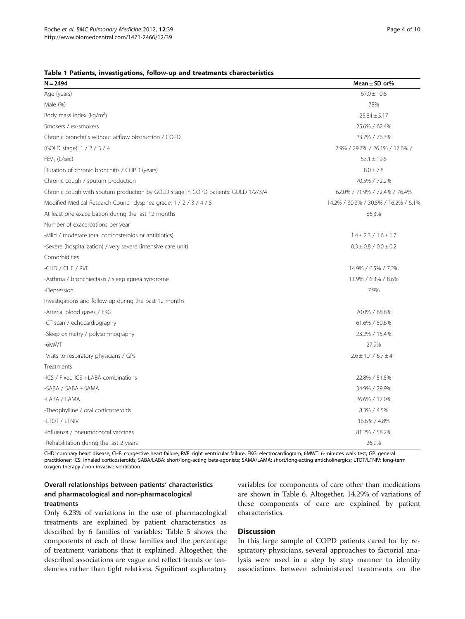#### <span id="page-3-0"></span>Table 1 Patients, investigations, follow-up and treatments characteristics

| $N = 2494$                                                                        | Mean $\pm$ SD or%                    |
|-----------------------------------------------------------------------------------|--------------------------------------|
| Age (years)                                                                       | $67.0 \pm 10.6$                      |
| Male (%)                                                                          | 78%                                  |
| Body mass index ( $kg/m2$ )                                                       | $25.84 \pm 5.17$                     |
| Smokers / ex-smokers                                                              | 25.6% / 62.4%                        |
| Chronic bronchitis without airflow obstruction / COPD                             | 23.7% / 76.3%                        |
| (GOLD stage): 1 / 2 / 3 / 4                                                       | 2.9% / 29.7% / 26.1% / 17.6% /       |
| $FEV1$ (L/sec)                                                                    | $53.1 \pm 19.6$                      |
| Duration of chronic bronchitis / COPD (years)                                     | $8.0 \pm 7.8$                        |
| Chronic cough / sputum production                                                 | 70.5% / 72.2%                        |
| Chronic cough with sputum production by GOLD stage in COPD patients: GOLD 1/2/3/4 | 62.0% / 71.9% / 72.4% / 76.4%        |
| Modified Medical Research Council dyspnea grade: 1 / 2 / 3 / 4 / 5                | 14.2% / 30.3% / 30.5% / 16.2% / 6.1% |
| At least one exacerbation during the last 12 months                               | 86.3%                                |
| Number of exacerbations per year                                                  |                                      |
| -Mild / moderate (oral corticosteroids or antibiotics)                            | $1.4 \pm 2.3 / 1.6 \pm 1.7$          |
| -Severe (hospitalization) / very severe (intensive care unit)                     | $0.3 \pm 0.8 / 0.0 \pm 0.2$          |
| Comorbidities                                                                     |                                      |
| -CHD / CHF / RVF                                                                  | 14.9% / 6.5% / 7.2%                  |
| -Asthma / bronchiectasis / sleep apnea syndrome                                   | 11.9% / 6.3% / 8.6%                  |
| -Depression                                                                       | 7.9%                                 |
| Investigations and follow-up during the past 12 months                            |                                      |
| -Arterial blood gases / EKG                                                       | 70.0% / 68.8%                        |
| -CT-scan / echocardiography                                                       | 61.6% / 50.6%                        |
| -Sleep oximetry / polysomnography                                                 | 23.2% / 15.4%                        |
| -6MWT                                                                             | 27.9%                                |
| Visits to respiratory physicians / GPs                                            | $2.6 \pm 1.7 / 6.7 \pm 4.1$          |
| Treatments                                                                        |                                      |
| -ICS / Fixed ICS + LABA combinations                                              | 22.8% / 51.5%                        |
| -SABA / SABA + SAMA                                                               | 34.9% / 29.9%                        |
| -LABA / LAMA                                                                      | 26.6% / 17.0%                        |
| -Theophylline / oral corticosteroids                                              | 8.3% / 4.5%                          |
| -LTOT / LTNIV                                                                     | 16.6% / 4.8%                         |
| -Influenza / pneumococcal vaccines                                                | 81.2% / 58.2%                        |
| -Rehabilitation during the last 2 years                                           | 26.9%                                |

CHD: coronary heart disease; CHF: congestive heart failure; RVF: right ventricular failure; EKG: electrocardiogram; 6MWT: 6-minutes walk test; GP: general practitioner; ICS: inhaled corticosteroids; SABA/LABA: short/long-acting beta-agonists; SAMA/LAMA: short/long-acting anticholinergics; LTOT/LTNIV: long-term oxygen therapy / non-invasive ventilation.

## Overall relationships between patients' characteristics and pharmacological and non-pharmacological treatments

Only 6.23% of variations in the use of pharmacological treatments are explained by patient characteristics as described by 6 families of variables: Table [5](#page-6-0) shows the components of each of these families and the percentage of treatment variations that it explained. Altogether, the described associations are vague and reflect trends or tendencies rather than tight relations. Significant explanatory variables for components of care other than medications are shown in Table [6.](#page-6-0) Altogether, 14.29% of variations of these components of care are explained by patient characteristics.

## **Discussion**

In this large sample of COPD patients cared for by respiratory physicians, several approaches to factorial analysis were used in a step by step manner to identify associations between administered treatments on the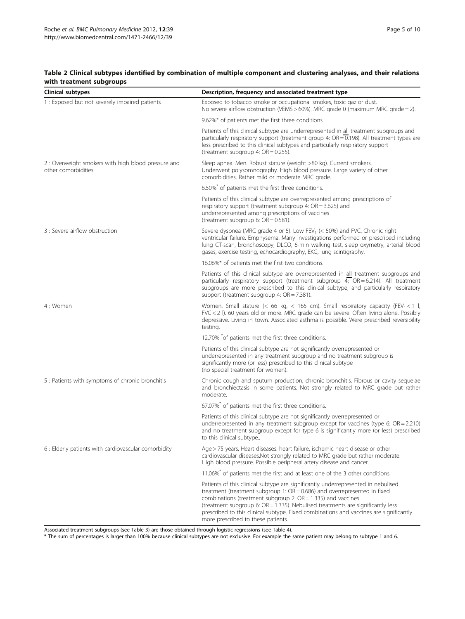| <b>Clinical subtypes</b>                                                   | Description, frequency and associated treatment type                                                                                                                                                                                                                                                                                                                                                                                                       |  |  |
|----------------------------------------------------------------------------|------------------------------------------------------------------------------------------------------------------------------------------------------------------------------------------------------------------------------------------------------------------------------------------------------------------------------------------------------------------------------------------------------------------------------------------------------------|--|--|
| 1 : Exposed but not severely impaired patients                             | Exposed to tobacco smoke or occupational smokes, toxic gaz or dust.<br>No severe airflow obstruction (VEMS $>$ 60%). MRC grade 0 (maximum MRC grade = 2).                                                                                                                                                                                                                                                                                                  |  |  |
|                                                                            | 9.62%* of patients met the first three conditions.                                                                                                                                                                                                                                                                                                                                                                                                         |  |  |
|                                                                            | Patients of this clinical subtype are underrepresented in all treatment subgroups and<br>particularly respiratory support (treatment group 4: $OR = 0.198$ ). All treatment types are<br>less prescribed to this clinical subtypes and particularly respiratory support<br>(treatment subgroup 4: OR = 0.255).                                                                                                                                             |  |  |
| 2 : Overweight smokers with high blood pressure and<br>other comorbidities | Sleep apnea. Men. Robust stature (weight >80 kg). Current smokers.<br>Underwent polysomnography. High blood pressure. Large variety of other<br>comorbidities. Rather mild or moderate MRC grade.                                                                                                                                                                                                                                                          |  |  |
|                                                                            | 6.50%* of patients met the first three conditions.                                                                                                                                                                                                                                                                                                                                                                                                         |  |  |
|                                                                            | Patients of this clinical subtype are overrepresented among prescriptions of<br>respiratory support (treatment subgroup 4: $OR = 3.625$ ) and<br>underrepresented among prescriptions of vaccines<br>(treatment subgroup 6: $OR = 0.581$ ).                                                                                                                                                                                                                |  |  |
| 3 : Severe airflow obstruction                                             | Severe dyspnea (MRC grade 4 or 5). Low FEV <sub>1</sub> ( $<$ 50%) and FVC. Chronic right<br>ventricular failure. Emphysema. Many investigations performed or prescribed including<br>lung CT-scan, bronchoscopy, DLCO, 6-min walking test, sleep oxymetry, arterial blood<br>gases, exercise testing, echocardiography, EKG, lung scintigraphy.                                                                                                           |  |  |
|                                                                            | 16.06%* of patients met the first two conditions.                                                                                                                                                                                                                                                                                                                                                                                                          |  |  |
|                                                                            | Patients of this clinical subtype are overrepresented in all treatment subgroups and<br>particularly respiratory support (treatment subgroup $\overline{4}$ : OR = 6.214). All treatment<br>subgroups are more prescribed to this clinical subtype, and particularly respiratory<br>support (treatment subgroup 4: $OR = 7.381$ ).                                                                                                                         |  |  |
| 4: Women                                                                   | Women. Small stature (< 66 kg, < 165 cm). Small respiratory capacity (FEV <sub>1</sub> < 1 l,<br>FVC < 2 l). 60 years old or more. MRC grade can be severe. Often living alone. Possibly<br>depressive. Living in town. Associated asthma is possible. Were prescribed reversibility<br>testing.                                                                                                                                                           |  |  |
|                                                                            | 12.70% of patients met the first three conditions.                                                                                                                                                                                                                                                                                                                                                                                                         |  |  |
|                                                                            | Patients of this clinical subtype are not significantly overrepresented or<br>underrepresented in any treatment subgroup and no treatment subgroup is<br>significantly more (or less) prescribed to this clinical subtype<br>(no special treatment for women).                                                                                                                                                                                             |  |  |
| 5 : Patients with symptoms of chronic bronchitis                           | Chronic cough and sputum production, chronic bronchitis. Fibrous or cavity sequelae<br>and bronchiectasis in some patients. Not strongly related to MRC grade but rather<br>moderate.                                                                                                                                                                                                                                                                      |  |  |
|                                                                            | 67.07%* of patients met the first three conditions.                                                                                                                                                                                                                                                                                                                                                                                                        |  |  |
|                                                                            | Patients of this clinical subtype are not significantly overrepresented or<br>underrepresented in any treatment subgroup except for vaccines (type 6: $OR = 2.210$ )<br>and no treatment subgroup except for type 6 is significantly more (or less) prescribed<br>to this clinical subtype                                                                                                                                                                 |  |  |
| 6 : Elderly patients with cardiovascular comorbidity                       | Age > 75 years. Heart diseases: heart failure, ischemic heart disease or other<br>cardiovascular diseases. Not strongly related to MRC grade but rather moderate.<br>High blood pressure. Possible peripheral artery disease and cancer.                                                                                                                                                                                                                   |  |  |
|                                                                            | 11.06% <sup>*</sup> of patients met the first and at least one of the 3 other conditions.                                                                                                                                                                                                                                                                                                                                                                  |  |  |
|                                                                            | Patients of this clinical subtype are significantly underrepresented in nebulised<br>treatment (treatment subgroup 1: $OR = 0.686$ ) and overrepresented in fixed<br>combinations (treatment subgroup 2: $OR = 1.335$ ) and vaccines<br>(treatment subgroup 6: $OR = 1.335$ ). Nebulised treatments are significantly less<br>prescribed to this clinical subtype. Fixed combinations and vaccines are significantly<br>more prescribed to these patients. |  |  |

## <span id="page-4-0"></span>Table 2 Clinical subtypes identified by combination of multiple component and clustering analyses, and their relations with treatment subgroups

Associated treatment subgroups (see Table [3\)](#page-5-0) are those obtained through logistic regressions (see Table [4](#page-5-0)).

\* The sum of percentages is larger than 100% because clinical subtypes are not exclusive. For example the same patient may belong to subtype 1 and 6.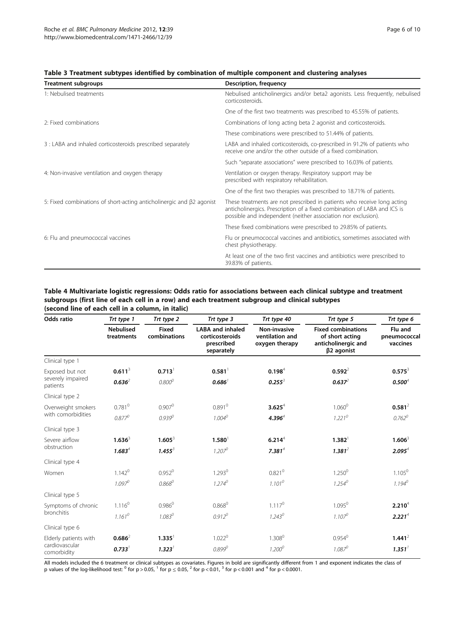| <b>Treatment subgroups</b>                                             | <b>Description, frequency</b>                                                                                                                                                                                        |  |  |
|------------------------------------------------------------------------|----------------------------------------------------------------------------------------------------------------------------------------------------------------------------------------------------------------------|--|--|
| 1: Nebulised treatments                                                | Nebulised anticholinergics and/or beta2 agonists. Less frequently, nebulised<br>corticosteroids.                                                                                                                     |  |  |
|                                                                        | One of the first two treatments was prescribed to 45.55% of patients.                                                                                                                                                |  |  |
| 2: Fixed combinations                                                  | Combinations of long acting beta 2 agonist and corticosteroids.                                                                                                                                                      |  |  |
|                                                                        | These combinations were prescribed to 51.44% of patients.                                                                                                                                                            |  |  |
| 3 : LABA and inhaled corticosteroids prescribed separately             | LABA and inhaled corticosteroids, co-prescribed in 91.2% of patients who<br>receive one and/or the other outside of a fixed combination.                                                                             |  |  |
|                                                                        | Such "separate associations" were prescribed to 16.03% of patients.                                                                                                                                                  |  |  |
| 4: Non-invasive ventilation and oxygen therapy                         | Ventilation or oxygen therapy. Respiratory support may be<br>prescribed with respiratory rehabilitation.                                                                                                             |  |  |
|                                                                        | One of the first two therapies was prescribed to 18.71% of patients.                                                                                                                                                 |  |  |
| 5: Fixed combinations of short-acting anticholinergic and $β2$ agonist | These treatments are not prescribed in patients who receive long acting<br>anticholinergics. Prescription of a fixed combination of LABA and ICS is<br>possible and independent (neither association nor exclusion). |  |  |
|                                                                        | These fixed combinations were prescribed to 29.85% of patients.                                                                                                                                                      |  |  |
| 6: Flu and pneumococcal vaccines                                       | Flu or pneumococcal vaccines and antibiotics, sometimes associated with<br>chest physiotherapy.                                                                                                                      |  |  |
|                                                                        | At least one of the two first vaccines and antibiotics were prescribed to<br>39.83% of patients.                                                                                                                     |  |  |

## <span id="page-5-0"></span>Table 3 Treatment subtypes identified by combination of multiple component and clustering analyses

#### Table 4 Multivariate logistic regressions: Odds ratio for associations between each clinical subtype and treatment subgroups (first line of each cell in a row) and each treatment subgroup and clinical subtypes (second line of each cell in a column, in italic)

| Odds ratio                    | Trt type 1                     | Trt type 2            | Trt type 3                                                             | Trt type 40                                                                                                                                   | Trt type 5         | Trt type 6         |  |
|-------------------------------|--------------------------------|-----------------------|------------------------------------------------------------------------|-----------------------------------------------------------------------------------------------------------------------------------------------|--------------------|--------------------|--|
|                               | <b>Nebulised</b><br>treatments | Fixed<br>combinations | <b>LABA and inhaled</b><br>corticosteroids<br>prescribed<br>separately | <b>Fixed combinations</b><br>Non-invasive<br>ventilation and<br>of short acting<br>oxygen therapy<br>anticholinergic and<br>$\beta$ 2 agonist |                    |                    |  |
| Clinical type 1               |                                |                       |                                                                        |                                                                                                                                               |                    |                    |  |
| Exposed but not               | $0.611^{3}$                    | $0.713$ <sup>1</sup>  | $0.581$ <sup>1</sup>                                                   | $0.198^{4}$                                                                                                                                   | $0.592^2$          | $0.575^3$          |  |
| severely impaired<br>patients | $0.636^2$                      | $0.800^0$             | $0.686^{\dagger}$                                                      | $0.255^3$                                                                                                                                     | 0.637 <sup>2</sup> | $0.500^{4}$        |  |
| Clinical type 2               |                                |                       |                                                                        |                                                                                                                                               |                    |                    |  |
| Overweight smokers            | $0.781^{0}$                    | $0.907^0$             | $0.891^{0}$                                                            | $3.625^{4}$                                                                                                                                   | $1.060^{\circ}$    | $0.581^2$          |  |
| with comorbidities            | $0.877^{0}$                    | $0.939^{0}$           | $1.004^0$                                                              | $4.396^{4}$                                                                                                                                   | $1.221^{0}$        | $0.762^{\circ}$    |  |
| Clinical type 3               |                                |                       |                                                                        |                                                                                                                                               |                    |                    |  |
| Severe airflow                | $1.636^{3}$                    | $1.605^3$             | $1.580^1$                                                              | $6.214^{4}$                                                                                                                                   | $1.382^{\dagger}$  | $1.606^3$          |  |
| obstruction                   | $1.683^{4}$                    | $1.455^{3}$           | $1.207^{0}$                                                            | $7.381^{4}$                                                                                                                                   | $1.381^{2}$        | $2.095^{4}$        |  |
| Clinical type 4               |                                |                       |                                                                        |                                                                                                                                               |                    |                    |  |
| Women                         | $1.142^0$                      | $0.952^0$             | $1.293^0$                                                              | $0.821^{0}$                                                                                                                                   | $1.250^{0}$        | $1.105^0$          |  |
|                               | $1.097^0$                      | $0.868^{\rm O}$       | $1.274^{0}$                                                            | $1.101^{0}$                                                                                                                                   | $1.254^{0}$        | $1.194^{0}$        |  |
| Clinical type 5               |                                |                       |                                                                        |                                                                                                                                               |                    |                    |  |
| Symptoms of chronic           | $1.116^{0}$                    | $0.986^0$             | $0.868^0$                                                              | $1.117^{0}$                                                                                                                                   | $1.095^{\circ}$    | 2.210 <sup>4</sup> |  |
| bronchitis                    | $1.161^{0}$                    | $1.083^{0}$           | $0.912^{0}$                                                            | $1.243^{0}$                                                                                                                                   | $1.107^{0}$        | $2.221^{4}$        |  |
| Clinical type 6               |                                |                       |                                                                        |                                                                                                                                               |                    |                    |  |
| Elderly patients with         | $0.686^2$                      | $1.335^{\dagger}$     | $1.022^0$                                                              | $1.308^{0}$                                                                                                                                   | $0.954^{0}$        | 1.441 <sup>2</sup> |  |
| cardiovascular<br>comorbidity | 0.733'                         | 1.323'                | $0.899^0$                                                              | $1.200^0$                                                                                                                                     | $1.087^{0}$        | 1.351 <sup>1</sup> |  |

All models included the 6 treatment or clinical subtypes as covariates. Figures in bold are significantly different from 1 and exponent indicates the class of p values of the log-likelihood test:  $^0$  for p > 0.05,  $^1$  for p  $\leq$  0.05,  $^2$  for p < 0.01,  $^3$  for p < 0.001 and  $^4$  for p < 0.0001.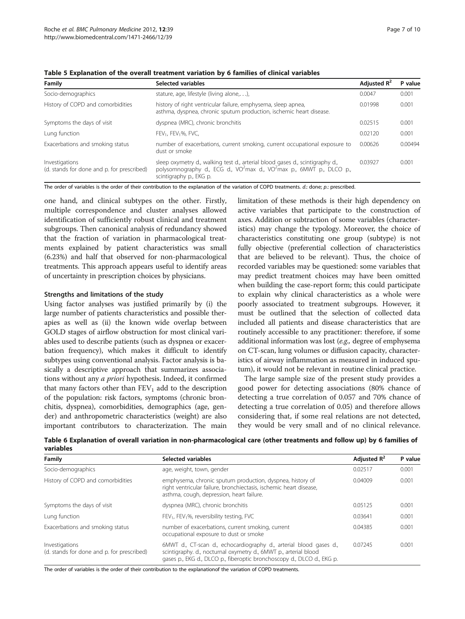| Family                                                       | Selected variables                                                                                                                                                                                        | Adjusted $R^2$ | P value |
|--------------------------------------------------------------|-----------------------------------------------------------------------------------------------------------------------------------------------------------------------------------------------------------|----------------|---------|
| Socio-demographics                                           | stature, age, lifestyle (living alone,),                                                                                                                                                                  | 0.0047         | 0.001   |
| History of COPD and comorbidities                            | history of right ventricular failure, emphysema, sleep apnea,<br>asthma, dyspnea, chronic sputum production, ischemic heart disease.                                                                      | 0.01998        | 0.001   |
| Symptoms the days of visit                                   | dyspnea (MRC), chronic bronchitis                                                                                                                                                                         | 0.02515        | 0.001   |
| Lung function                                                | $FEV1$ , $FEV1%$ , $FVC$ ,                                                                                                                                                                                | 0.02120        | 0.001   |
| Exacerbations and smoking status                             | number of exacerbations, current smoking, current occupational exposure to<br>dust or smoke                                                                                                               | 0.00626        | 0.00494 |
| Investigations<br>(d. stands for done and p. for prescribed) | sleep oxymetry d., walking test d., arterial blood gases d., scintigraphy d.,<br>polysomnography d., ECG d., VO <sup>2</sup> max d., VO <sup>2</sup> max p., 6MWT p., DLCO p.,<br>scintigraphy p., EKG p. | 0.03927        | 0.001   |

<span id="page-6-0"></span>Table 5 Explanation of the overall treatment variation by 6 families of clinical variables

The order of variables is the order of their contribution to the explanation of the variation of COPD treatments. d.: done; p.: prescribed.

one hand, and clinical subtypes on the other. Firstly, multiple correspondence and cluster analyses allowed identification of sufficiently robust clinical and treatment subgroups. Then canonical analysis of redundancy showed that the fraction of variation in pharmacological treatments explained by patient characteristics was small (6.23%) and half that observed for non-pharmacological treatments. This approach appears useful to identify areas of uncertainty in prescription choices by physicians.

#### Strengths and limitations of the study

Using factor analyses was justified primarily by (i) the large number of patients characteristics and possible therapies as well as (ii) the known wide overlap between GOLD stages of airflow obstruction for most clinical variables used to describe patients (such as dyspnea or exacerbation frequency), which makes it difficult to identify subtypes using conventional analysis. Factor analysis is basically a descriptive approach that summarizes associations without any a priori hypothesis. Indeed, it confirmed that many factors other than  $FEV<sub>1</sub>$  add to the description of the population: risk factors, symptoms (chronic bronchitis, dyspnea), comorbidities, demographics (age, gender) and anthropometric characteristics (weight) are also important contributors to characterization. The main limitation of these methods is their high dependency on active variables that participate to the construction of axes. Addition or subtraction of some variables (characteristics) may change the typology. Moreover, the choice of characteristics constituting one group (subtype) is not fully objective (preferential collection of characteristics that are believed to be relevant). Thus, the choice of recorded variables may be questioned: some variables that may predict treatment choices may have been omitted when building the case-report form; this could participate to explain why clinical characteristics as a whole were poorly associated to treatment subgroups. However, it must be outlined that the selection of collected data included all patients and disease characteristics that are routinely accessible to any practitioner: therefore, if some additional information was lost (e.g., degree of emphysema on CT-scan, lung volumes or diffusion capacity, characteristics of airway inflammation as measured in induced sputum), it would not be relevant in routine clinical practice.

The large sample size of the present study provides a good power for detecting associations (80% chance of detecting a true correlation of 0.057 and 70% chance of detecting a true correlation of 0.05) and therefore allows considering that, if some real relations are not detected, they would be very small and of no clinical relevance.

| Table 6 Explanation of overall variation in non-pharmacological care (other treatments and follow up) by 6 families of |  |  |  |
|------------------------------------------------------------------------------------------------------------------------|--|--|--|
| variables                                                                                                              |  |  |  |

| Family                                                       | Selected variables                                                                                                                                                                                               | Adjusted $R^2$ | P value |
|--------------------------------------------------------------|------------------------------------------------------------------------------------------------------------------------------------------------------------------------------------------------------------------|----------------|---------|
| Socio-demographics                                           | age, weight, town, gender                                                                                                                                                                                        | 0.02517        | 0.001   |
| History of COPD and comorbidities                            | emphysema, chronic sputum production, dyspnea, history of<br>right ventricular failure, bronchiectasis, ischemic heart disease,<br>asthma, cough, depression, heart failure.                                     | 0.04009        | 0.001   |
| Symptoms the days of visit                                   | dyspnea (MRC), chronic bronchitis                                                                                                                                                                                | 0.05125        | 0.001   |
| Lung function                                                | FEV <sub>1</sub> , FEV <sub>1</sub> %, reversibility testing, FVC                                                                                                                                                | 0.03641        | 0.001   |
| Exacerbations and smoking status                             | number of exacerbations, current smoking, current<br>occupational exposure to dust or smoke                                                                                                                      | 0.04385        | 0.001   |
| Investigations<br>(d. stands for done and p. for prescribed) | 6MWT d., CT-scan d., echocardiography d., arterial blood gases d.,<br>scintigraphy. d., nocturnal oxymetry d., 6MWT p., arterial blood<br>gases p., EKG d., DLCO p., fiberoptic bronchoscopy d., DLCO d., EKG p. | 0.07245        | 0.001   |

The order of variables is the order of their contribution to the explanationof the variation of COPD treatments.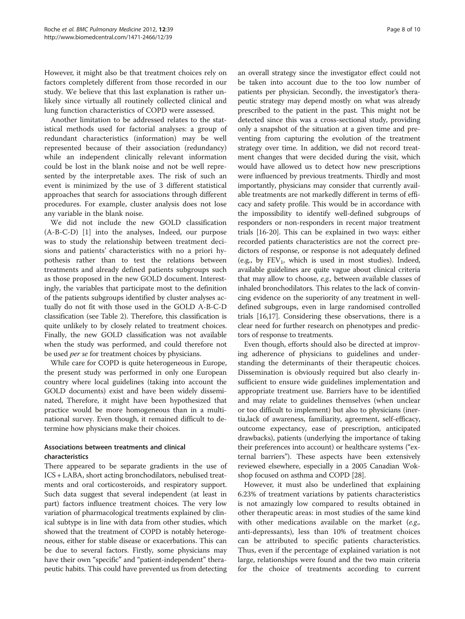However, it might also be that treatment choices rely on factors completely different from those recorded in our study. We believe that this last explanation is rather unlikely since virtually all routinely collected clinical and lung function characteristics of COPD were assessed.

Another limitation to be addressed relates to the statistical methods used for factorial analyses: a group of redundant characteristics (information) may be well represented because of their association (redundancy) while an independent clinically relevant information could be lost in the blank noise and not be well represented by the interpretable axes. The risk of such an event is minimized by the use of 3 different statistical approaches that search for associations through different procedures. For example, cluster analysis does not lose any variable in the blank noise.

We did not include the new GOLD classification (A-B-C-D) [[1\]](#page-8-0) into the analyses, Indeed, our purpose was to study the relationship between treatment decisions and patients' characteristics with no a priori hypothesis rather than to test the relations between treatments and already defined patients subgroups such as those proposed in the new GOLD document. Interestingly, the variables that participate most to the definition of the patients subgroups identified by cluster analyses actually do not fit with those used in the GOLD A-B-C-D classification (see Table [2\)](#page-4-0). Therefore, this classification is quite unlikely to by closely related to treatment choices. Finally, the new GOLD classification was not available when the study was performed, and could therefore not be used *per se* for treatment choices by physicians.

While care for COPD is quite heterogeneous in Europe, the present study was performed in only one European country where local guidelines (taking into account the GOLD documents) exist and have been widely disseminated, Therefore, it might have been hypothesized that practice would be more homogeneous than in a multinational survey. Even though, it remained difficult to determine how physicians make their choices.

## Associations between treatments and clinical characteristics

There appeared to be separate gradients in the use of ICS + LABA, short acting bronchodilators, nebulised treatments and oral corticosteroids, and respiratory support. Such data suggest that several independent (at least in part) factors influence treatment choices. The very low variation of pharmacological treatments explained by clinical subtype is in line with data from other studies, which showed that the treatment of COPD is notably heterogeneous, either for stable disease or exacerbations. This can be due to several factors. Firstly, some physicians may have their own "specific" and "patient-independent" therapeutic habits. This could have prevented us from detecting

an overall strategy since the investigator effect could not be taken into account due to the too low number of patients per physician. Secondly, the investigator's therapeutic strategy may depend mostly on what was already prescribed to the patient in the past. This might not be detected since this was a cross-sectional study, providing only a snapshot of the situation at a given time and preventing from capturing the evolution of the treatment strategy over time. In addition, we did not record treatment changes that were decided during the visit, which would have allowed us to detect how new prescriptions were influenced by previous treatments. Thirdly and most importantly, physicians may consider that currently available treatments are not markedly different in terms of efficacy and safety profile. This would be in accordance with the impossibility to identify well-defined subgroups of responders or non-responders in recent major treatment trials [[16](#page-9-0)-[20](#page-9-0)]. This can be explained in two ways: either recorded patients characteristics are not the correct predictors of response, or response is not adequately defined (e.g., by  $FEV_1$ , which is used in most studies). Indeed, available guidelines are quite vague about clinical criteria that may allow to choose, e.g., between available classes of inhaled bronchodilators. This relates to the lack of convincing evidence on the superiority of any treatment in welldefined subgroups, even in large randomised controlled trials [\[16,17](#page-9-0)]. Considering these observations, there is a clear need for further research on phenotypes and predictors of response to treatments.

Even though, efforts should also be directed at improving adherence of physicians to guidelines and understanding the determinants of their therapeutic choices. Dissemination is obviously required but also clearly insufficient to ensure wide guidelines implementation and appropriate treatment use. Barriers have to be identified and may relate to guidelines themselves (when unclear or too difficult to implement) but also to physicians (inertia,lack of awareness, familiarity, agreement, self-efficacy, outcome expectancy, ease of prescription, anticipated drawbacks), patients (underlying the importance of taking their preferences into account) or healthcare systems ("external barriers"). These aspects have been extensively reviewed elsewhere, especially in a 2005 Canadian Wokshop focused on asthma and COPD [[28](#page-9-0)].

However, it must also be underlined that explaining 6.23% of treatment variations by patients characteristics is not amazingly low compared to results obtained in other therapeutic areas: in most studies of the same kind with other medications available on the market (e.g., anti-depressants), less than 10% of treatment choices can be attributed to specific patients characteristics. Thus, even if the percentage of explained variation is not large, relationships were found and the two main criteria for the choice of treatments according to current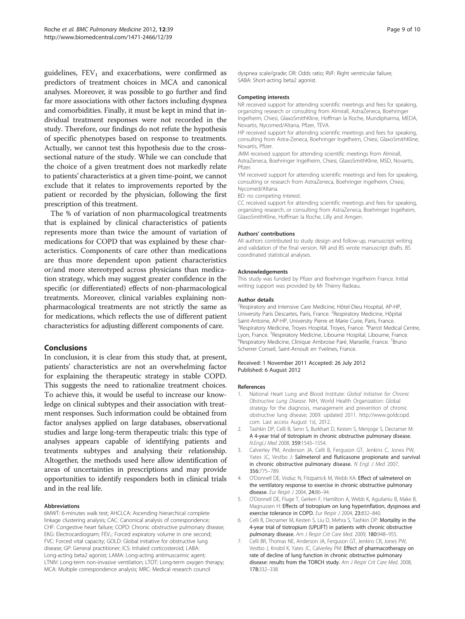<span id="page-8-0"></span>guidelines,  $FEV<sub>1</sub>$  and exacerbations, were confirmed as predictors of treatment choices in MCA and canonical analyses. Moreover, it was possible to go further and find far more associations with other factors including dyspnea and comorbidities. Finally, it must be kept in mind that individual treatment responses were not recorded in the study. Therefore, our findings do not refute the hypothesis of specific phenotypes based on response to treatments. Actually, we cannot test this hypothesis due to the crosssectional nature of the study. While we can conclude that the choice of a given treatment does not markedly relate to patients' characteristics at a given time-point, we cannot exclude that it relates to improvements reported by the patient or recorded by the physician, following the first prescription of this treatment.

The % of variation of non pharmacological treatments that is explained by clinical characteristics of patients represents more than twice the amount of variation of medications for COPD that was explained by these characteristics. Components of care other than medications are thus more dependent upon patient characteristics or/and more stereotyped across physicians than medication strategy, which may suggest greater confidence in the specific (or differentiated) effects of non-pharmacological treatments. Moreover, clinical variables explaining nonpharmacological treatments are not strictly the same as for medications, which reflects the use of different patient characteristics for adjusting different components of care.

### Conclusions

In conclusion, it is clear from this study that, at present, patients' characteristics are not an overwhelming factor for explaining the therapeutic strategy in stable COPD. This suggests the need to rationalize treatment choices. To achieve this, it would be useful to increase our knowledge on clinical subtypes and their association with treatment responses. Such information could be obtained from factor analyses applied on large databases, observational studies and large long-term therapeutic trials: this type of analyses appears capable of identifying patients and treatments subtypes and analysing their relationship. Altogether, the methods used here allow identification of areas of uncertainties in prescriptions and may provide opportunities to identify responders both in clinical trials and in the real life.

#### Abbreviations

6MWT: 6-minutes walk test; AHCLCA: Ascending hierarchical complete linkage clustering analysis; CAC: Canonical analysis of correspondence; CHF: Congestive heart failure; COPD: Chronic obstructive pulmonary disease; EKG: Electrocardiogram; FEV<sub>1</sub>: Forced expiratory volume in one second; FVC: Forced vital capacity; GOLD: Global initiative for obstructive lung disease; GP: General practitioner; ICS: Inhaled corticosteroid; LABA: Long-acting beta2 agonist; LAMA: Long-acting antimuscarinic agent; LTNIV: Long-term non-invasive ventilation; LTOT: Long-term oxygen therapy; MCA: Multiple correspondence analysis; MRC: Medical research council

dyspnea scale/grade; OR: Odds ratio; RVF: Right ventricular failure; SABA: Short-acting beta2 agonist.

#### Competing interests

NR received support for attending scientific meetings and fees for speaking, organizing research or consulting from Almirall, AstraZeneca, Boehringer Ingelheim, Chiesi, GlaxoSmithKline, Hoffman la Roche, Mundipharma, MEDA, Novartis, Nycomed/Altana, Pfizer, TEVA.

HP received support for attending scientific meetings and fees for speaking, consulting from Astra-Zeneca, Boehringer Ingelheim, Chiesi, GlaxoSmithKline, Novartis, Pfizer.

JMM received support for attending scientific meetings from Almirall, AstraZeneca, Boehringer Ingelheim, Chiesi, GlaxoSmithKline, MSD, Novartis, Pfizer.

YM received support for attending scientific meetings and fees for speaking, consulting or research from AstraZeneca, Boehringer Ingelheim, Chiesi, Nycomed/Altana.

BD: no competing interest.

CC received support for attending scientific meetings and fees for speaking, organizing research, or consulting from AstraZeneca, Boehringer Ingelheim, GlaxoSmithKline, Hoffman la Roche, Lilly and Amgen.

#### Authors' contributions

All authors contributed to study design and follow-up, manuscript writing and validation of the final version. NR and BS wrote manuscript drafts. BS coordinated statistical analyses.

#### Acknowledgements

This study was funded by Pfizer and Boehringer Ingelheim France. Initial writing support was provided by Mr Thierry Radeau.

#### Author details

<sup>1</sup> Respiratory and Intensive Care Medicine, Hôtel-Dieu Hospital, AP-HP University Paris Descartes, Paris, France. <sup>2</sup>Respiratory Medicine, Hôpital Saint-Antoine, AP-HP, University Pierre et Marie Curie, Paris, France. <sup>3</sup>Respiratory Medicine, Troyes Hospital, Troyes, France. <sup>4</sup>Parrot Medical Centre Lyon, France. <sup>5</sup>Respiratory Medicine, Libourne Hospital, Libourne, France.<br><sup>6</sup>Respiratory Medicine, Clinique Ambroise Paré, Marseille, France. <sup>7</sup>Bruno. Respiratory Medicine, Clinique Ambroise Paré, Marseille, France. <sup>7</sup>Bruno Scherrer Conseil, Saint-Arnoult en Yvelines, France.

#### Received: 1 November 2011 Accepted: 26 July 2012 Published: 6 August 2012

#### References

- 1. National Heart Lung and Blood Institute: Global Initiative for Chronic Obstructive Lung Disease. NIH, World Health Organization: Global strategy for the diagnosis, management and prevention of chronic obstructive lung disease; 2009. updated 2011. [http://www.goldcopd.](http://www.goldcopd.com) [com.](http://www.goldcopd.com) Last access August 1st, 2012.
- 2. Tashkin DP, Celli B, Senn S, Burkhart D, Kesten S, Menjoge S, Decramer M: A 4-year trial of tiotropium in chronic obstructive pulmonary disease. N.Engl.J Med 2008, 359:1543–1554.
- 3. Calverley PM, Anderson JA, Celli B, Ferguson GT, Jenkins C, Jones PW, Yates JC, Vestbo J: Salmeterol and fluticasone propionate and survival in chronic obstructive pulmonary disease. N Engl J Med 2007, 356:775–789.
- 4. O'Donnell DE, Voduc N, Fitzpatrick M, Webb KA: Effect of salmeterol on the ventilatory response to exercise in chronic obstructive pulmonary disease. Eur Respir J 2004, 24:86–94.
- 5. O'Donnell DE, Fluge T, Gerken F, Hamilton A, Webb K, Aguilaniu B, Make B, Magnussen H: Effects of tiotropium on lung hyperinflation, dyspnoea and exercise tolerance in COPD. Eur Respir J 2004, 23:832–840.
- 6. Celli B, Decramer M, Kesten S, Liu D, Mehra S, Tashkin DP: Mortality in the 4-year trial of tiotropium (UPLIFT) in patients with chronic obstructive pulmonary disease. Am J Respir Crit Care Med. 2009, 180:948-955.
- 7. Celli BR, Thomas NE, Anderson JA, Ferguson GT, Jenkins CR, Jones PW, Vestbo J, Knobil K, Yates JC, Calverley PM: Effect of pharmacotherapy on rate of decline of lung function in chronic obstructive pulmonary disease: results from the TORCH study. Am J Respir Crit Care Med. 2008, 178:332–338.